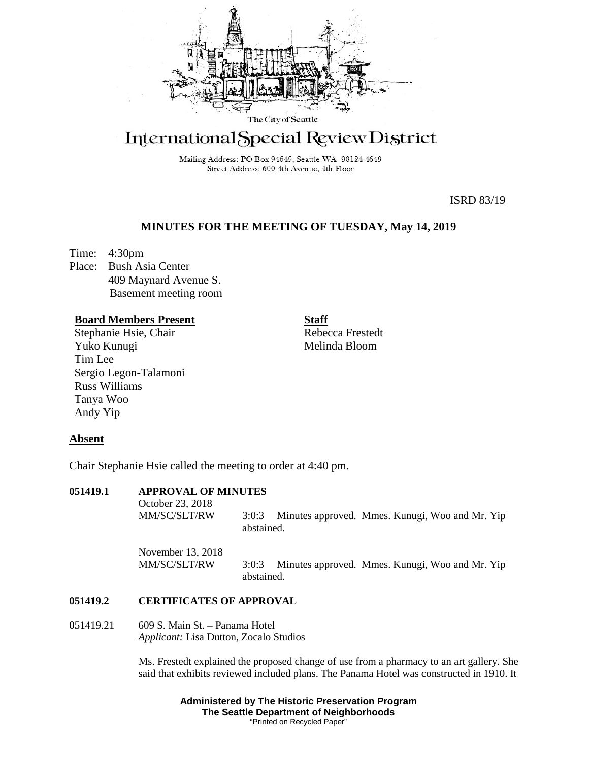

# International Special Review District

Mailing Address: PO Box 94649, Seattle WA 98124-4649 Street Address: 600 4th Avenue, 4th Floor

ISRD 83/19

## **MINUTES FOR THE MEETING OF TUESDAY, May 14, 2019**

Time: 4:30pm Place: Bush Asia Center 409 Maynard Avenue S. Basement meeting room

## **Board Members Present**

Stephanie Hsie, Chair Yuko Kunugi Tim Lee Sergio Legon-Talamoni Russ Williams Tanya Woo Andy Yip

**Staff**

Rebecca Frestedt Melinda Bloom

### **Absent**

Chair Stephanie Hsie called the meeting to order at 4:40 pm.

| 051419.1 | <b>APPROVAL OF MINUTES</b>        |                                                                        |
|----------|-----------------------------------|------------------------------------------------------------------------|
|          | October 23, 2018<br>MM/SC/SLT/RW  | Minutes approved. Mmes. Kunugi, Woo and Mr. Yip<br>3:0:3<br>abstained. |
|          | November 13, 2018<br>MM/SC/SLT/RW | Minutes approved. Mmes. Kunugi, Woo and Mr. Yip<br>3:0:3<br>abstained. |
| 051419.2 | <b>CERTIFICATES OF APPROVAL</b>   |                                                                        |

#### **051419.2 CERTIFICATES OF APPROVAL**

051419.21 609 S. Main St. – Panama Hotel *Applicant:* Lisa Dutton, Zocalo Studios

> Ms. Frestedt explained the proposed change of use from a pharmacy to an art gallery. She said that exhibits reviewed included plans. The Panama Hotel was constructed in 1910. It

> > **Administered by The Historic Preservation Program The Seattle Department of Neighborhoods** "Printed on Recycled Paper"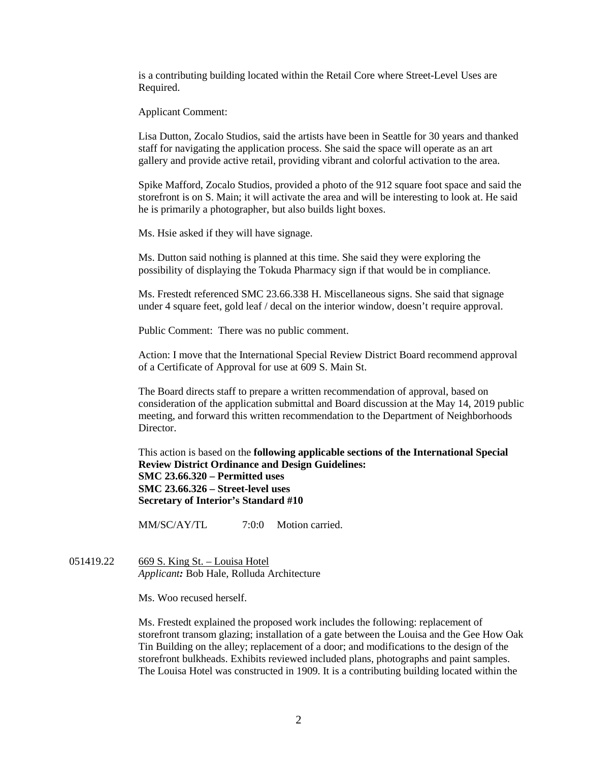is a contributing building located within the Retail Core where Street-Level Uses are Required.

Applicant Comment:

Lisa Dutton, Zocalo Studios, said the artists have been in Seattle for 30 years and thanked staff for navigating the application process. She said the space will operate as an art gallery and provide active retail, providing vibrant and colorful activation to the area.

Spike Mafford, Zocalo Studios, provided a photo of the 912 square foot space and said the storefront is on S. Main; it will activate the area and will be interesting to look at. He said he is primarily a photographer, but also builds light boxes.

Ms. Hsie asked if they will have signage.

Ms. Dutton said nothing is planned at this time. She said they were exploring the possibility of displaying the Tokuda Pharmacy sign if that would be in compliance.

Ms. Frestedt referenced SMC 23.66.338 H. Miscellaneous signs. She said that signage under 4 square feet, gold leaf / decal on the interior window, doesn't require approval.

Public Comment: There was no public comment.

Action: I move that the International Special Review District Board recommend approval of a Certificate of Approval for use at 609 S. Main St.

The Board directs staff to prepare a written recommendation of approval, based on consideration of the application submittal and Board discussion at the May 14, 2019 public meeting, and forward this written recommendation to the Department of Neighborhoods Director.

This action is based on the **following applicable sections of the International Special Review District Ordinance and Design Guidelines: SMC 23.66.320 – Permitted uses SMC 23.66.326 – Street-level uses Secretary of Interior's Standard #10**

MM/SC/AY/TL 7:0:0 Motion carried.

051419.22 669 S. King St. – Louisa Hotel *Applicant:* Bob Hale, Rolluda Architecture

Ms. Woo recused herself.

Ms. Frestedt explained the proposed work includes the following: replacement of storefront transom glazing; installation of a gate between the Louisa and the Gee How Oak Tin Building on the alley; replacement of a door; and modifications to the design of the storefront bulkheads. Exhibits reviewed included plans, photographs and paint samples. The Louisa Hotel was constructed in 1909. It is a contributing building located within the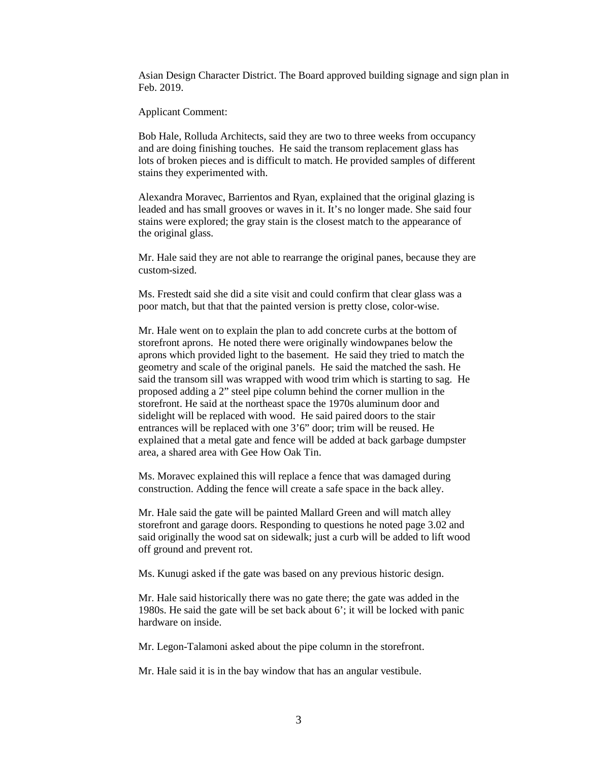Asian Design Character District. The Board approved building signage and sign plan in Feb. 2019.

Applicant Comment:

Bob Hale, Rolluda Architects, said they are two to three weeks from occupancy and are doing finishing touches. He said the transom replacement glass has lots of broken pieces and is difficult to match. He provided samples of different stains they experimented with.

Alexandra Moravec, Barrientos and Ryan, explained that the original glazing is leaded and has small grooves or waves in it. It's no longer made. She said four stains were explored; the gray stain is the closest match to the appearance of the original glass.

Mr. Hale said they are not able to rearrange the original panes, because they are custom-sized.

Ms. Frestedt said she did a site visit and could confirm that clear glass was a poor match, but that that the painted version is pretty close, color-wise.

Mr. Hale went on to explain the plan to add concrete curbs at the bottom of storefront aprons. He noted there were originally windowpanes below the aprons which provided light to the basement. He said they tried to match the geometry and scale of the original panels. He said the matched the sash. He said the transom sill was wrapped with wood trim which is starting to sag. He proposed adding a 2" steel pipe column behind the corner mullion in the storefront. He said at the northeast space the 1970s aluminum door and sidelight will be replaced with wood. He said paired doors to the stair entrances will be replaced with one 3'6" door; trim will be reused. He explained that a metal gate and fence will be added at back garbage dumpster area, a shared area with Gee How Oak Tin.

Ms. Moravec explained this will replace a fence that was damaged during construction. Adding the fence will create a safe space in the back alley.

Mr. Hale said the gate will be painted Mallard Green and will match alley storefront and garage doors. Responding to questions he noted page 3.02 and said originally the wood sat on sidewalk; just a curb will be added to lift wood off ground and prevent rot.

Ms. Kunugi asked if the gate was based on any previous historic design.

Mr. Hale said historically there was no gate there; the gate was added in the 1980s. He said the gate will be set back about 6'; it will be locked with panic hardware on inside.

Mr. Legon-Talamoni asked about the pipe column in the storefront.

Mr. Hale said it is in the bay window that has an angular vestibule.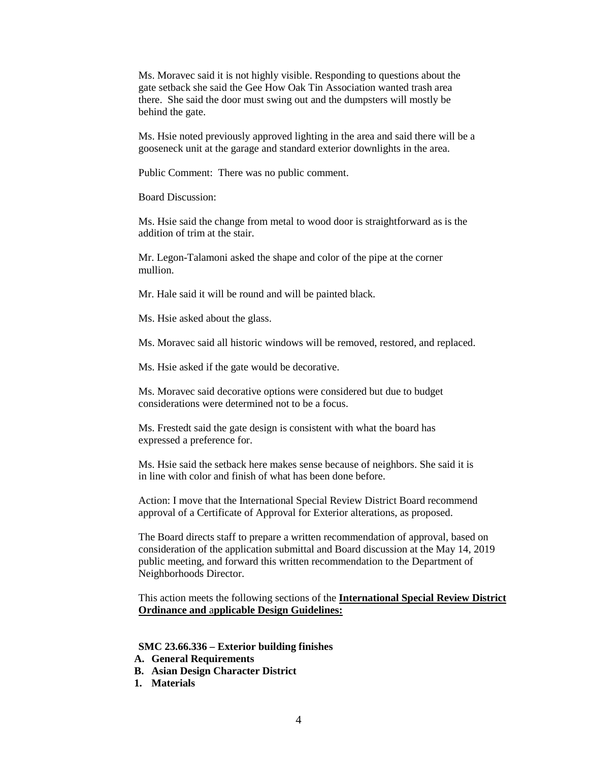Ms. Moravec said it is not highly visible. Responding to questions about the gate setback she said the Gee How Oak Tin Association wanted trash area there. She said the door must swing out and the dumpsters will mostly be behind the gate.

Ms. Hsie noted previously approved lighting in the area and said there will be a gooseneck unit at the garage and standard exterior downlights in the area.

Public Comment: There was no public comment.

Board Discussion:

Ms. Hsie said the change from metal to wood door is straightforward as is the addition of trim at the stair.

Mr. Legon-Talamoni asked the shape and color of the pipe at the corner mullion.

Mr. Hale said it will be round and will be painted black.

Ms. Hsie asked about the glass.

Ms. Moravec said all historic windows will be removed, restored, and replaced.

Ms. Hsie asked if the gate would be decorative.

Ms. Moravec said decorative options were considered but due to budget considerations were determined not to be a focus.

Ms. Frestedt said the gate design is consistent with what the board has expressed a preference for.

Ms. Hsie said the setback here makes sense because of neighbors. She said it is in line with color and finish of what has been done before.

Action: I move that the International Special Review District Board recommend approval of a Certificate of Approval for Exterior alterations, as proposed.

The Board directs staff to prepare a written recommendation of approval, based on consideration of the application submittal and Board discussion at the May 14, 2019 public meeting, and forward this written recommendation to the Department of Neighborhoods Director.

This action meets the following sections of the **International Special Review District Ordinance and** a**pplicable Design Guidelines:**

**SMC 23.66.336 – Exterior building finishes**

- **A. General Requirements**
- **B. Asian Design Character District**
- **1. Materials**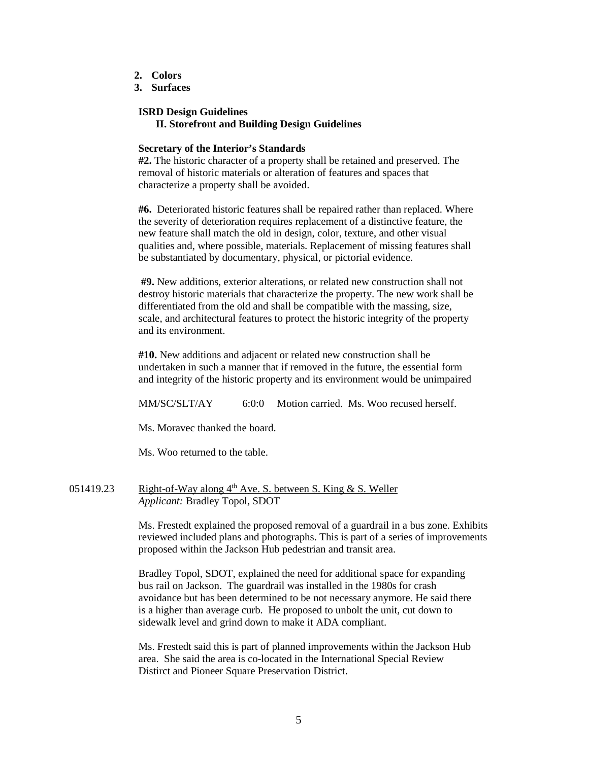- **2. Colors**
- **3. Surfaces**

## **ISRD Design Guidelines**

**II. Storefront and Building Design Guidelines**

#### **Secretary of the Interior's Standards**

**#2.** The historic character of a property shall be retained and preserved. The removal of historic materials or alteration of features and spaces that characterize a property shall be avoided.

**#6.** Deteriorated historic features shall be repaired rather than replaced. Where the severity of deterioration requires replacement of a distinctive feature, the new feature shall match the old in design, color, texture, and other visual qualities and, where possible, materials. Replacement of missing features shall be substantiated by documentary, physical, or pictorial evidence.

**#9.** New additions, exterior alterations, or related new construction shall not destroy historic materials that characterize the property. The new work shall be differentiated from the old and shall be compatible with the massing, size, scale, and architectural features to protect the historic integrity of the property and its environment.

**#10.** New additions and adjacent or related new construction shall be undertaken in such a manner that if removed in the future, the essential form and integrity of the historic property and its environment would be unimpaired

MM/SC/SLT/AY 6:0:0 Motion carried. Ms. Woo recused herself.

Ms. Moravec thanked the board.

Ms. Woo returned to the table.

051419.23 Right-of-Way along  $4<sup>th</sup>$  Ave. S. between S. King & S. Weller *Applicant:* Bradley Topol, SDOT

> Ms. Frestedt explained the proposed removal of a guardrail in a bus zone. Exhibits reviewed included plans and photographs. This is part of a series of improvements proposed within the Jackson Hub pedestrian and transit area.

Bradley Topol, SDOT, explained the need for additional space for expanding bus rail on Jackson. The guardrail was installed in the 1980s for crash avoidance but has been determined to be not necessary anymore. He said there is a higher than average curb. He proposed to unbolt the unit, cut down to sidewalk level and grind down to make it ADA compliant.

Ms. Frestedt said this is part of planned improvements within the Jackson Hub area. She said the area is co-located in the International Special Review Distirct and Pioneer Square Preservation District.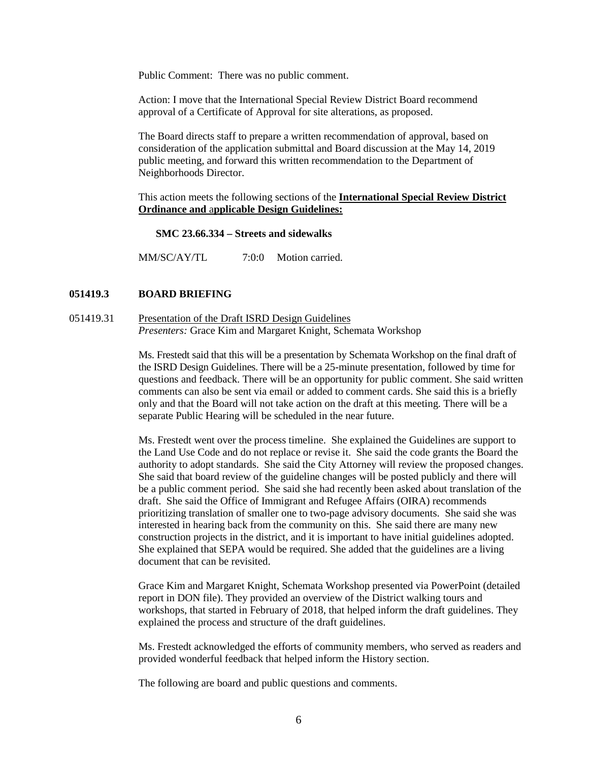Public Comment: There was no public comment.

Action: I move that the International Special Review District Board recommend approval of a Certificate of Approval for site alterations, as proposed.

The Board directs staff to prepare a written recommendation of approval, based on consideration of the application submittal and Board discussion at the May 14, 2019 public meeting, and forward this written recommendation to the Department of Neighborhoods Director.

This action meets the following sections of the **International Special Review District Ordinance and** a**pplicable Design Guidelines:**

**SMC 23.66.334 – Streets and sidewalks**

MM/SC/AY/TL 7:0:0 Motion carried.

#### **051419.3 BOARD BRIEFING**

051419.31 Presentation of the Draft ISRD Design Guidelines *Presenters:* Grace Kim and Margaret Knight, Schemata Workshop

> Ms. Frestedt said that this will be a presentation by Schemata Workshop on the final draft of the ISRD Design Guidelines. There will be a 25-minute presentation, followed by time for questions and feedback. There will be an opportunity for public comment. She said written comments can also be sent via email or added to comment cards. She said this is a briefly only and that the Board will not take action on the draft at this meeting. There will be a separate Public Hearing will be scheduled in the near future.

> Ms. Frestedt went over the process timeline. She explained the Guidelines are support to the Land Use Code and do not replace or revise it. She said the code grants the Board the authority to adopt standards. She said the City Attorney will review the proposed changes. She said that board review of the guideline changes will be posted publicly and there will be a public comment period. She said she had recently been asked about translation of the draft. She said the Office of Immigrant and Refugee Affairs (OIRA) recommends prioritizing translation of smaller one to two-page advisory documents. She said she was interested in hearing back from the community on this. She said there are many new construction projects in the district, and it is important to have initial guidelines adopted. She explained that SEPA would be required. She added that the guidelines are a living document that can be revisited.

> Grace Kim and Margaret Knight, Schemata Workshop presented via PowerPoint (detailed report in DON file). They provided an overview of the District walking tours and workshops, that started in February of 2018, that helped inform the draft guidelines. They explained the process and structure of the draft guidelines.

> Ms. Frestedt acknowledged the efforts of community members, who served as readers and provided wonderful feedback that helped inform the History section.

The following are board and public questions and comments.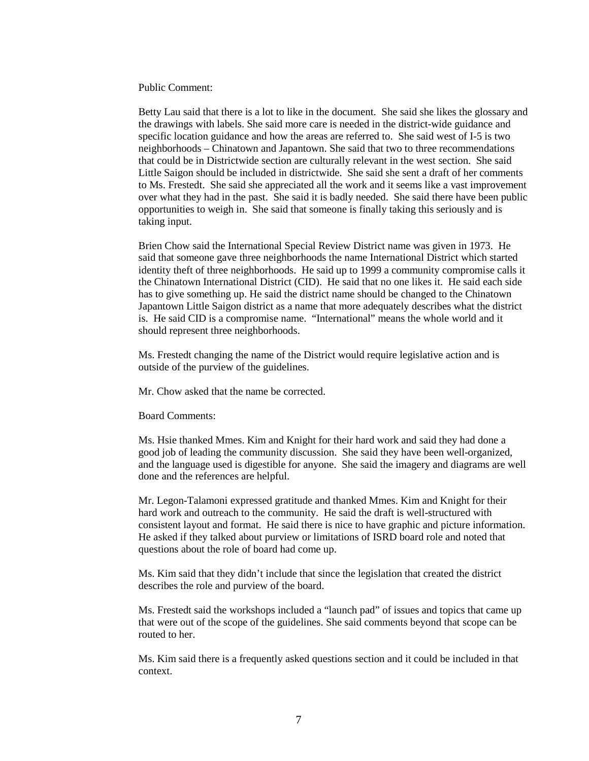Public Comment:

Betty Lau said that there is a lot to like in the document. She said she likes the glossary and the drawings with labels. She said more care is needed in the district-wide guidance and specific location guidance and how the areas are referred to. She said west of I-5 is two neighborhoods – Chinatown and Japantown. She said that two to three recommendations that could be in Districtwide section are culturally relevant in the west section. She said Little Saigon should be included in districtwide. She said she sent a draft of her comments to Ms. Frestedt. She said she appreciated all the work and it seems like a vast improvement over what they had in the past. She said it is badly needed. She said there have been public opportunities to weigh in. She said that someone is finally taking this seriously and is taking input.

Brien Chow said the International Special Review District name was given in 1973. He said that someone gave three neighborhoods the name International District which started identity theft of three neighborhoods. He said up to 1999 a community compromise calls it the Chinatown International District (CID). He said that no one likes it. He said each side has to give something up. He said the district name should be changed to the Chinatown Japantown Little Saigon district as a name that more adequately describes what the district is. He said CID is a compromise name. "International" means the whole world and it should represent three neighborhoods.

Ms. Frestedt changing the name of the District would require legislative action and is outside of the purview of the guidelines.

Mr. Chow asked that the name be corrected.

Board Comments:

Ms. Hsie thanked Mmes. Kim and Knight for their hard work and said they had done a good job of leading the community discussion. She said they have been well-organized, and the language used is digestible for anyone. She said the imagery and diagrams are well done and the references are helpful.

Mr. Legon-Talamoni expressed gratitude and thanked Mmes. Kim and Knight for their hard work and outreach to the community. He said the draft is well-structured with consistent layout and format. He said there is nice to have graphic and picture information. He asked if they talked about purview or limitations of ISRD board role and noted that questions about the role of board had come up.

Ms. Kim said that they didn't include that since the legislation that created the district describes the role and purview of the board.

Ms. Frestedt said the workshops included a "launch pad" of issues and topics that came up that were out of the scope of the guidelines. She said comments beyond that scope can be routed to her.

Ms. Kim said there is a frequently asked questions section and it could be included in that context.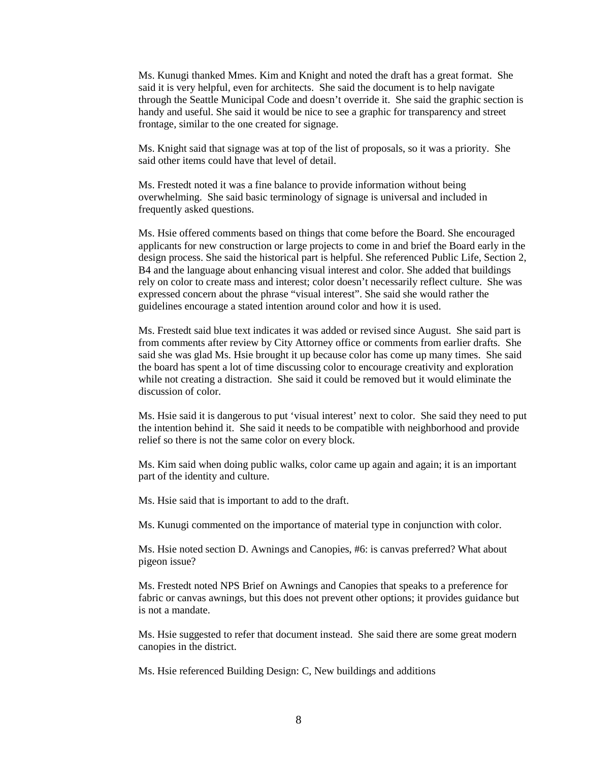Ms. Kunugi thanked Mmes. Kim and Knight and noted the draft has a great format. She said it is very helpful, even for architects. She said the document is to help navigate through the Seattle Municipal Code and doesn't override it. She said the graphic section is handy and useful. She said it would be nice to see a graphic for transparency and street frontage, similar to the one created for signage.

Ms. Knight said that signage was at top of the list of proposals, so it was a priority. She said other items could have that level of detail.

Ms. Frestedt noted it was a fine balance to provide information without being overwhelming. She said basic terminology of signage is universal and included in frequently asked questions.

Ms. Hsie offered comments based on things that come before the Board. She encouraged applicants for new construction or large projects to come in and brief the Board early in the design process. She said the historical part is helpful. She referenced Public Life, Section 2, B4 and the language about enhancing visual interest and color. She added that buildings rely on color to create mass and interest; color doesn't necessarily reflect culture. She was expressed concern about the phrase "visual interest". She said she would rather the guidelines encourage a stated intention around color and how it is used.

Ms. Frestedt said blue text indicates it was added or revised since August. She said part is from comments after review by City Attorney office or comments from earlier drafts. She said she was glad Ms. Hsie brought it up because color has come up many times. She said the board has spent a lot of time discussing color to encourage creativity and exploration while not creating a distraction. She said it could be removed but it would eliminate the discussion of color.

Ms. Hsie said it is dangerous to put 'visual interest' next to color. She said they need to put the intention behind it. She said it needs to be compatible with neighborhood and provide relief so there is not the same color on every block.

Ms. Kim said when doing public walks, color came up again and again; it is an important part of the identity and culture.

Ms. Hsie said that is important to add to the draft.

Ms. Kunugi commented on the importance of material type in conjunction with color.

Ms. Hsie noted section D. Awnings and Canopies, #6: is canvas preferred? What about pigeon issue?

Ms. Frestedt noted NPS Brief on Awnings and Canopies that speaks to a preference for fabric or canvas awnings, but this does not prevent other options; it provides guidance but is not a mandate.

Ms. Hsie suggested to refer that document instead. She said there are some great modern canopies in the district.

Ms. Hsie referenced Building Design: C, New buildings and additions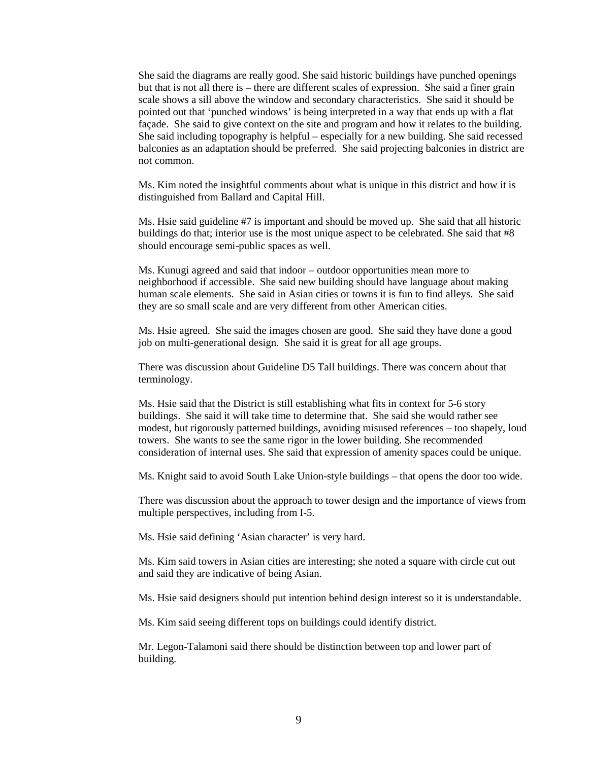She said the diagrams are really good. She said historic buildings have punched openings but that is not all there is – there are different scales of expression. She said a finer grain scale shows a sill above the window and secondary characteristics. She said it should be pointed out that 'punched windows' is being interpreted in a way that ends up with a flat façade. She said to give context on the site and program and how it relates to the building. She said including topography is helpful – especially for a new building. She said recessed balconies as an adaptation should be preferred. She said projecting balconies in district are not common.

Ms. Kim noted the insightful comments about what is unique in this district and how it is distinguished from Ballard and Capital Hill.

Ms. Hsie said guideline #7 is important and should be moved up. She said that all historic buildings do that; interior use is the most unique aspect to be celebrated. She said that #8 should encourage semi-public spaces as well.

Ms. Kunugi agreed and said that indoor – outdoor opportunities mean more to neighborhood if accessible. She said new building should have language about making human scale elements. She said in Asian cities or towns it is fun to find alleys. She said they are so small scale and are very different from other American cities.

Ms. Hsie agreed. She said the images chosen are good. She said they have done a good job on multi-generational design. She said it is great for all age groups.

There was discussion about Guideline D5 Tall buildings. There was concern about that terminology.

Ms. Hsie said that the District is still establishing what fits in context for 5-6 story buildings. She said it will take time to determine that. She said she would rather see modest, but rigorously patterned buildings, avoiding misused references – too shapely, loud towers. She wants to see the same rigor in the lower building. She recommended consideration of internal uses. She said that expression of amenity spaces could be unique.

Ms. Knight said to avoid South Lake Union-style buildings – that opens the door too wide.

There was discussion about the approach to tower design and the importance of views from multiple perspectives, including from I-5.

Ms. Hsie said defining 'Asian character' is very hard.

Ms. Kim said towers in Asian cities are interesting; she noted a square with circle cut out and said they are indicative of being Asian.

Ms. Hsie said designers should put intention behind design interest so it is understandable.

Ms. Kim said seeing different tops on buildings could identify district.

Mr. Legon-Talamoni said there should be distinction between top and lower part of building.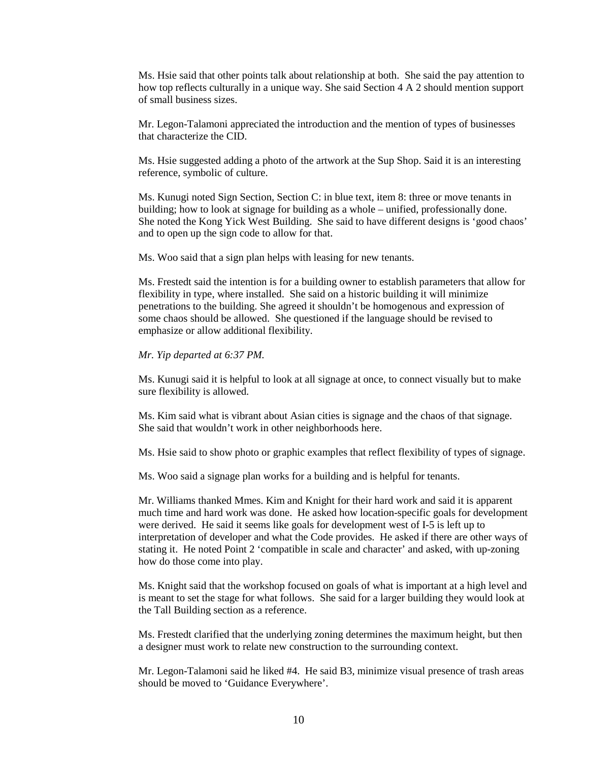Ms. Hsie said that other points talk about relationship at both. She said the pay attention to how top reflects culturally in a unique way. She said Section 4 A 2 should mention support of small business sizes.

Mr. Legon-Talamoni appreciated the introduction and the mention of types of businesses that characterize the CID.

Ms. Hsie suggested adding a photo of the artwork at the Sup Shop. Said it is an interesting reference, symbolic of culture.

Ms. Kunugi noted Sign Section, Section C: in blue text, item 8: three or move tenants in building; how to look at signage for building as a whole – unified, professionally done. She noted the Kong Yick West Building. She said to have different designs is 'good chaos' and to open up the sign code to allow for that.

Ms. Woo said that a sign plan helps with leasing for new tenants.

Ms. Frestedt said the intention is for a building owner to establish parameters that allow for flexibility in type, where installed. She said on a historic building it will minimize penetrations to the building. She agreed it shouldn't be homogenous and expression of some chaos should be allowed. She questioned if the language should be revised to emphasize or allow additional flexibility.

*Mr. Yip departed at 6:37 PM.*

Ms. Kunugi said it is helpful to look at all signage at once, to connect visually but to make sure flexibility is allowed.

Ms. Kim said what is vibrant about Asian cities is signage and the chaos of that signage. She said that wouldn't work in other neighborhoods here.

Ms. Hsie said to show photo or graphic examples that reflect flexibility of types of signage.

Ms. Woo said a signage plan works for a building and is helpful for tenants.

Mr. Williams thanked Mmes. Kim and Knight for their hard work and said it is apparent much time and hard work was done. He asked how location-specific goals for development were derived. He said it seems like goals for development west of I-5 is left up to interpretation of developer and what the Code provides. He asked if there are other ways of stating it. He noted Point 2 'compatible in scale and character' and asked, with up-zoning how do those come into play.

Ms. Knight said that the workshop focused on goals of what is important at a high level and is meant to set the stage for what follows. She said for a larger building they would look at the Tall Building section as a reference.

Ms. Frestedt clarified that the underlying zoning determines the maximum height, but then a designer must work to relate new construction to the surrounding context.

Mr. Legon-Talamoni said he liked #4. He said B3, minimize visual presence of trash areas should be moved to 'Guidance Everywhere'.